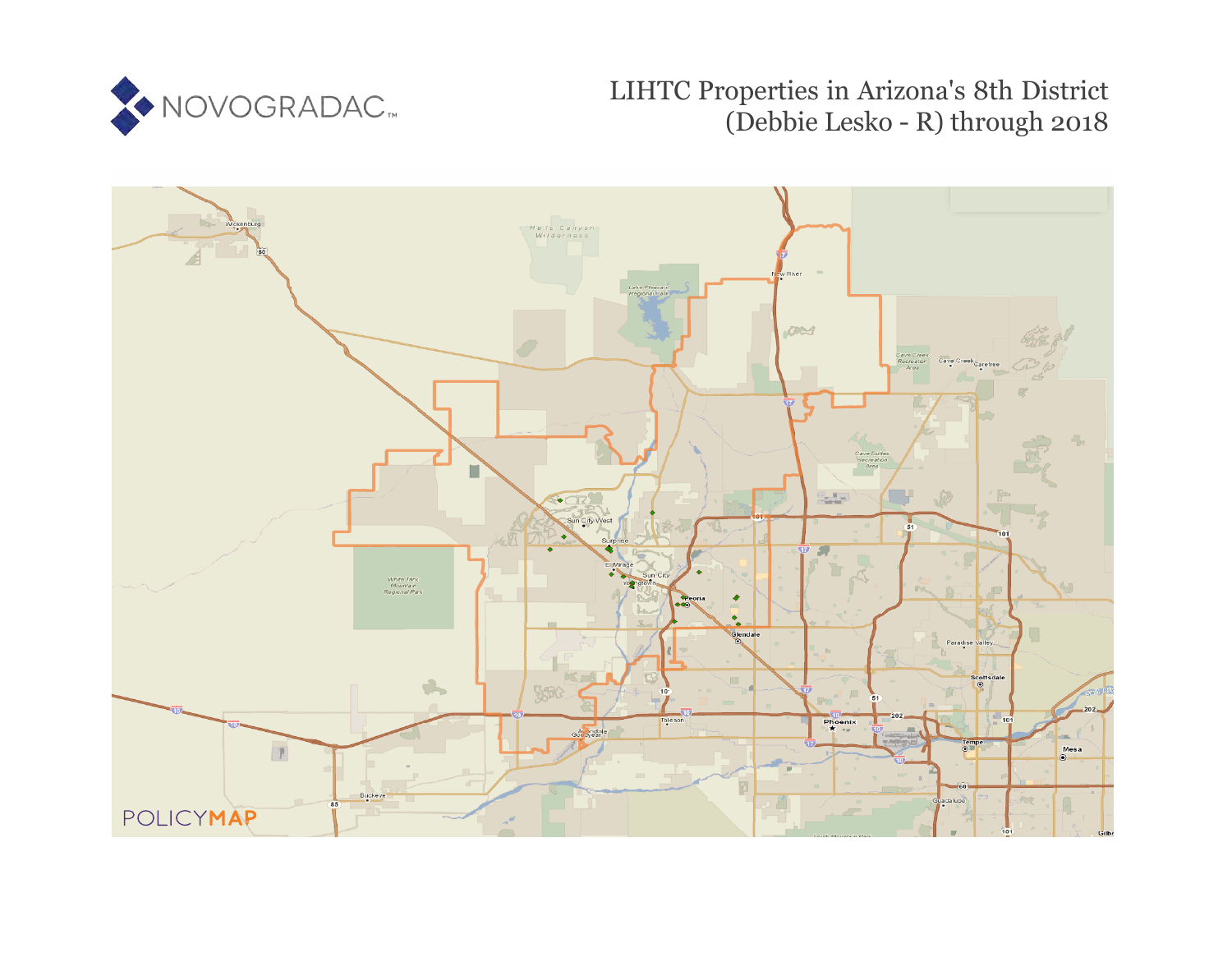

LIHTC Properties in Arizona's 8th District (Debbie Lesko - R) through 2018

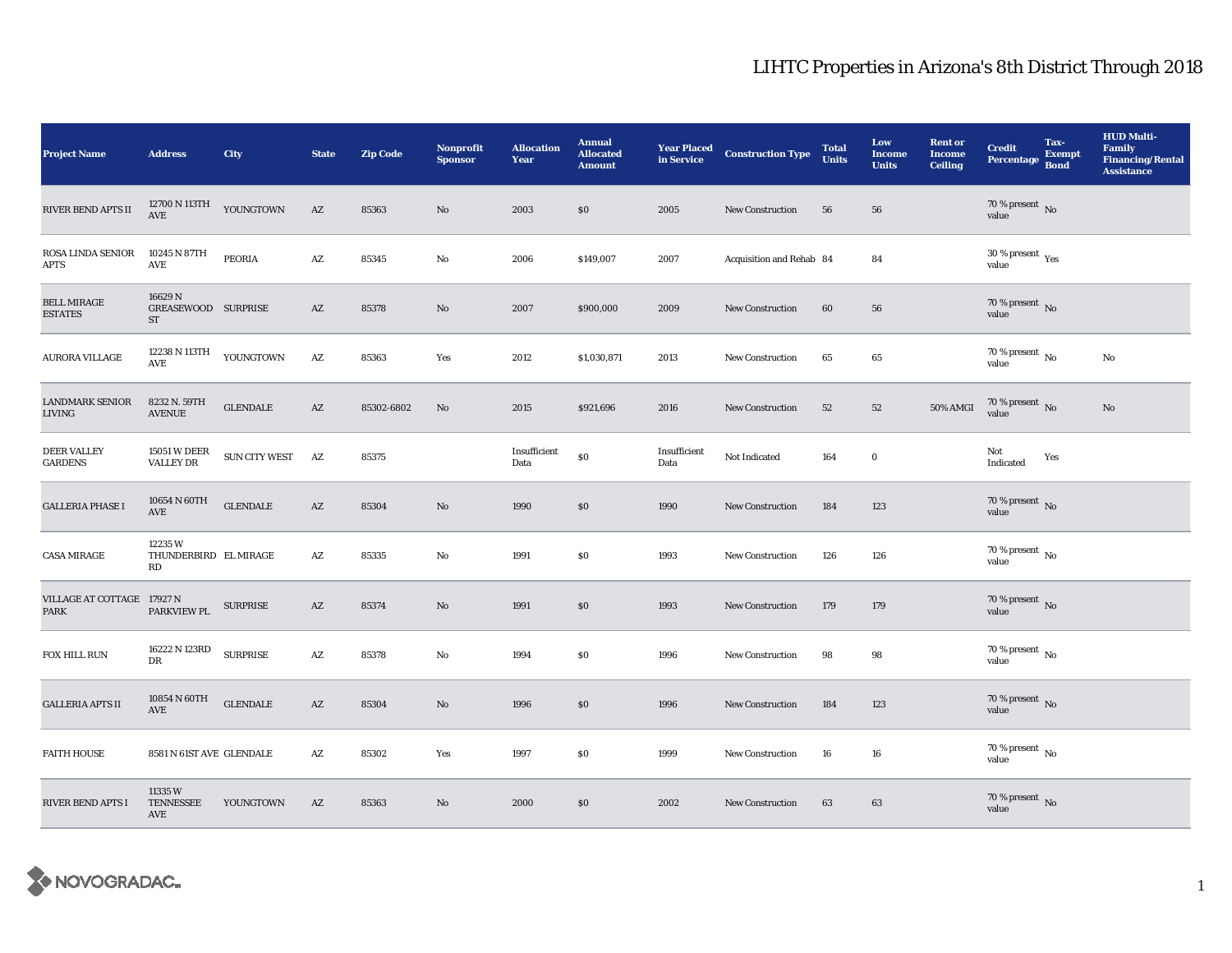## LIHTC Properties in Arizona's 8th District Through 2018

| <b>Project Name</b>                       | <b>Address</b>                          | City                 | <b>State</b>           | <b>Zip Code</b> | <b>Nonprofit</b><br><b>Sponsor</b> | <b>Allocation</b><br>Year | <b>Annual</b><br><b>Allocated</b><br><b>Amount</b> | <b>Year Placed</b><br>in Service | <b>Construction Type</b> | <b>Total</b><br><b>Units</b> | Low<br><b>Income</b><br><b>Units</b> | <b>Rent or</b><br><b>Income</b><br><b>Ceiling</b> | <b>Credit</b><br><b>Percentage</b>     | Tax-<br><b>Exempt</b><br><b>Bond</b> | <b>HUD Multi-</b><br><b>Family</b><br><b>Financing/Rental</b><br><b>Assistance</b> |
|-------------------------------------------|-----------------------------------------|----------------------|------------------------|-----------------|------------------------------------|---------------------------|----------------------------------------------------|----------------------------------|--------------------------|------------------------------|--------------------------------------|---------------------------------------------------|----------------------------------------|--------------------------------------|------------------------------------------------------------------------------------|
| RIVER BEND APTS II                        | 12700 N 113TH<br>AVE                    | YOUNGTOWN            | $\mathbf{A}\mathbf{Z}$ | 85363           | $\mathbf{N}\mathbf{o}$             | 2003                      | \$0                                                | 2005                             | New Construction         | 56                           | 56                                   |                                                   | $70\,\%$ present $\,$ No value         |                                      |                                                                                    |
| <b>ROSA LINDA SENIOR</b><br><b>APTS</b>   | 10245 N 87TH<br>AVE                     | <b>PEORIA</b>        | AZ                     | 85345           | No                                 | 2006                      | \$149,007                                          | 2007                             | Acquisition and Rehab 84 |                              | 84                                   |                                                   | $30$ % present $\,$ $\rm Yes$<br>value |                                      |                                                                                    |
| <b>BELL MIRAGE</b><br><b>ESTATES</b>      | 16629N<br>GREASEWOOD SURPRISE<br>ST     |                      | $\mathbf{A}\mathbf{Z}$ | 85378           | No                                 | 2007                      | \$900,000                                          | 2009                             | New Construction         | 60                           | 56                                   |                                                   | $70\,\%$ present $\,$ No value         |                                      |                                                                                    |
| <b>AURORA VILLAGE</b>                     | 12238 N 113TH<br>$\mathbf{AVE}$         | YOUNGTOWN            | $\mathbf{A}\mathbf{Z}$ | 85363           | Yes                                | 2012                      | \$1,030,871                                        | 2013                             | <b>New Construction</b>  | 65                           | 65                                   |                                                   | 70 % present $\,$ No $\,$<br>value     |                                      | No                                                                                 |
| <b>LANDMARK SENIOR</b><br><b>LIVING</b>   | 8232 N. 59TH<br><b>AVENUE</b>           | <b>GLENDALE</b>      | AZ                     | 85302-6802      | No                                 | 2015                      | \$921,696                                          | 2016                             | New Construction         | 52                           | ${\bf 52}$                           | 50% AMGI                                          | $70\,\%$ present $\,$ No value         |                                      | No                                                                                 |
| <b>DEER VALLEY</b><br><b>GARDENS</b>      | <b>15051 W DEER</b><br><b>VALLEY DR</b> | <b>SUN CITY WEST</b> | AZ                     | 85375           |                                    | Insufficient<br>Data      | $\$0$                                              | Insufficient<br>Data             | Not Indicated            | 164                          | $\mathbf 0$                          |                                                   | Not<br>Indicated                       | Yes                                  |                                                                                    |
| <b>GALLERIA PHASE I</b>                   | 10654 N 60TH<br>AVE                     | <b>GLENDALE</b>      | AZ                     | 85304           | $\mathbf{N}\mathbf{o}$             | 1990                      | \$0                                                | 1990                             | New Construction         | 184                          | 123                                  |                                                   | $70\,\%$ present $\,$ No value         |                                      |                                                                                    |
| <b>CASA MIRAGE</b>                        | 12235W<br>THUNDERBIRD EL MIRAGE<br>RD   |                      | $\mathbf{A}\mathbf{Z}$ | 85335           | No                                 | 1991                      | $\$0$                                              | 1993                             | <b>New Construction</b>  | 126                          | 126                                  |                                                   | 70 % present $\,$ No $\,$<br>value     |                                      |                                                                                    |
| VILLAGE AT COTTAGE 17927 N<br><b>PARK</b> | PARKVIEW PL                             | <b>SURPRISE</b>      | AZ                     | 85374           | $\mathbf{N}\mathbf{o}$             | 1991                      | \$0                                                | 1993                             | New Construction         | 179                          | 179                                  |                                                   | $70\,\%$ present $\,$ No value         |                                      |                                                                                    |
| FOX HILL RUN                              | 16222 N 123RD<br>DR                     | <b>SURPRISE</b>      | $\mathbf{A}\mathbf{Z}$ | 85378           | $\rm No$                           | 1994                      | $\boldsymbol{\mathsf{S}}\boldsymbol{\mathsf{0}}$   | 1996                             | <b>New Construction</b>  | 98                           | $\bf{98}$                            |                                                   | 70 % present $\,$ No $\,$<br>value     |                                      |                                                                                    |
| <b>GALLERIA APTS II</b>                   | 10854 N 60TH<br>AVE                     | <b>GLENDALE</b>      | AZ                     | 85304           | No                                 | 1996                      | \$0                                                | 1996                             | <b>New Construction</b>  | 184                          | 123                                  |                                                   | $70\,\%$ present $\,$ No value         |                                      |                                                                                    |
| <b>FAITH HOUSE</b>                        | 8581 N 61ST AVE GLENDALE                |                      | AZ                     | 85302           | Yes                                | 1997                      | S <sub>0</sub>                                     | 1999                             | <b>New Construction</b>  | 16                           | 16                                   |                                                   | $70\,\%$ present $\,$ No value         |                                      |                                                                                    |
| <b>RIVER BEND APTS I</b>                  | 11335W<br><b>TENNESSEE</b><br>AVE       | YOUNGTOWN            | AZ                     | 85363           | No                                 | 2000                      | \$0                                                | 2002                             | <b>New Construction</b>  | 63                           | 63                                   |                                                   | $70\,\%$ present $\,$ No value         |                                      |                                                                                    |

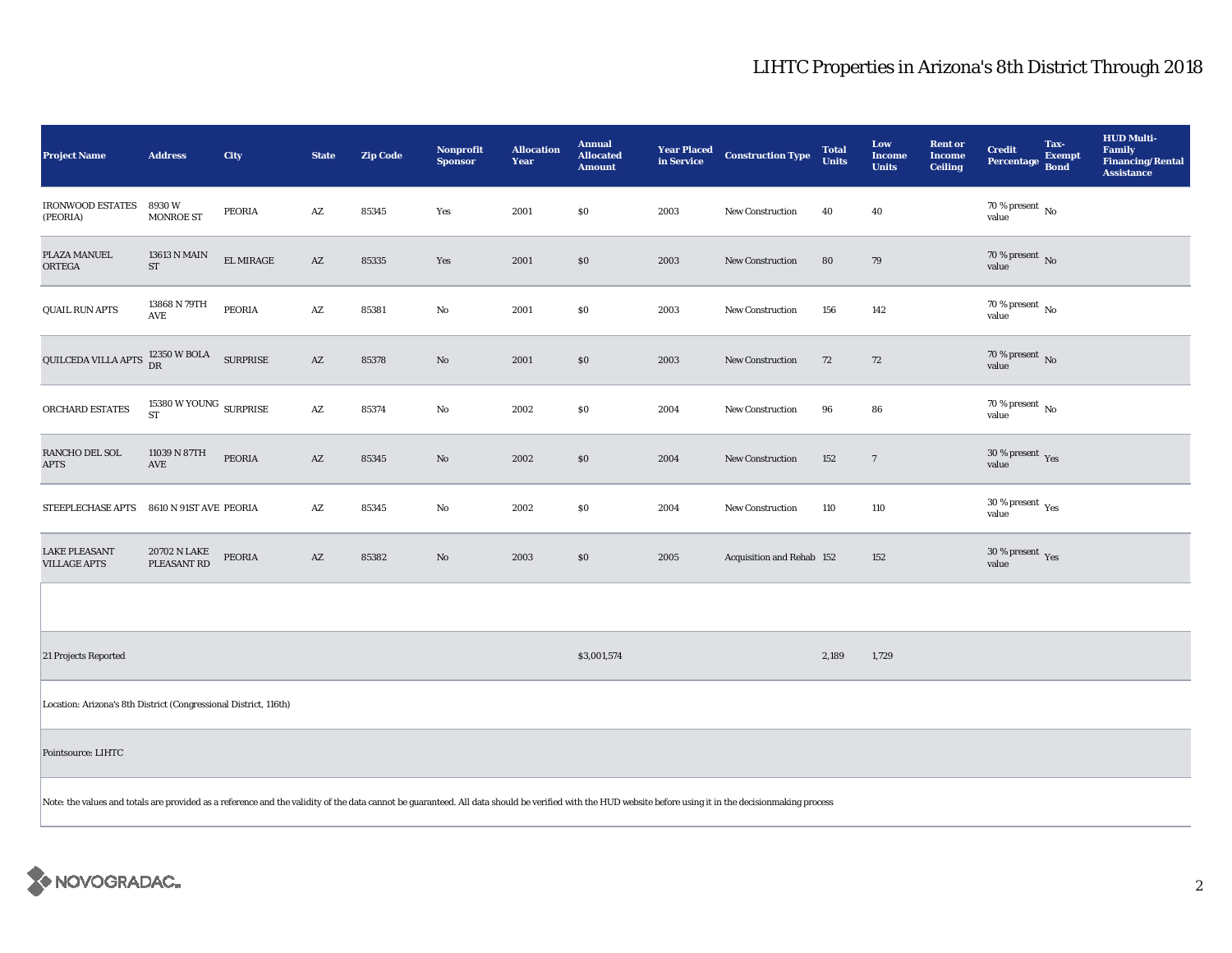## LIHTC Properties in Arizona's 8th District Through 2018

| <b>Project Name</b>                                                                                                                                                                                       | <b>Address</b>                                                       | City      | <b>State</b>           | <b>Zip Code</b> | Nonprofit<br><b>Sponsor</b> | <b>Allocation</b><br>Year | <b>Annual</b><br><b>Allocated</b><br><b>Amount</b> | <b>Year Placed</b><br>in Service | <b>Construction Type</b>  | <b>Total</b><br><b>Units</b> | Low<br><b>Income</b><br><b>Units</b> | <b>Rent or</b><br><b>Income</b><br><b>Ceiling</b> | <b>Credit</b><br><b>Percentage</b>              | Tax-<br><b>Exempt</b><br><b>Bond</b> | <b>HUD Multi-</b><br><b>Family</b><br><b>Financing/Rental</b><br><b>Assistance</b> |
|-----------------------------------------------------------------------------------------------------------------------------------------------------------------------------------------------------------|----------------------------------------------------------------------|-----------|------------------------|-----------------|-----------------------------|---------------------------|----------------------------------------------------|----------------------------------|---------------------------|------------------------------|--------------------------------------|---------------------------------------------------|-------------------------------------------------|--------------------------------------|------------------------------------------------------------------------------------|
| <b>IRONWOOD ESTATES</b><br>(PEORIA)                                                                                                                                                                       | 8930W<br><b>MONROE ST</b>                                            | PEORIA    | AZ                     | 85345           | Yes                         | 2001                      | \$0                                                | 2003                             | New Construction          | 40                           | 40                                   |                                                   | 70 % present $\,$ No $\,$<br>value              |                                      |                                                                                    |
| PLAZA MANUEL<br>ORTEGA                                                                                                                                                                                    | 13613 N MAIN<br>ST                                                   | EL MIRAGE | $\mathbf{A}\mathbf{Z}$ | 85335           | Yes                         | 2001                      | $\$0$                                              | 2003                             | <b>New Construction</b>   | 80                           | 79                                   |                                                   | 70 % present $\hbox{~No}$<br>value              |                                      |                                                                                    |
| <b>QUAIL RUN APTS</b>                                                                                                                                                                                     | 13868 N 79TH<br>AVE                                                  | PEORIA    | AZ                     | 85381           | No                          | 2001                      | \$0                                                | 2003                             | <b>New Construction</b>   | 156                          | 142                                  |                                                   | $70$ % present $\,$ No $\,$<br>value            |                                      |                                                                                    |
| QUILCEDA VILLA APTS                                                                                                                                                                                       | $12350\,\mathrm{W}$ BOLA SURPRISE DR                                 |           | $\mathbf{A}\mathbf{Z}$ | 85378           | No                          | 2001                      | $\$0$                                              | 2003                             | <b>New Construction</b>   | 72                           | 72                                   |                                                   | 70 % present $\,$ No $\,$<br>value              |                                      |                                                                                    |
| ORCHARD ESTATES                                                                                                                                                                                           | $15380\,\mathrm{W}\,\mathrm{YOUNG}\,\mathrm{~SURPRISE}$<br><b>ST</b> |           | $\mathbf{A}\mathbf{Z}$ | 85374           | No                          | 2002                      | $\$0$                                              | 2004                             | <b>New Construction</b>   | 96                           | 86                                   |                                                   | $70$ % present $\,$ No $\,$<br>value            |                                      |                                                                                    |
| RANCHO DEL SOL<br><b>APTS</b>                                                                                                                                                                             | 11039 N 87TH<br>AVE                                                  | PEORIA    | $\mathbf{A}\mathbf{Z}$ | 85345           | $\mathbf{No}$               | 2002                      | \$0                                                | 2004                             | <b>New Construction</b>   | 152                          | $\overline{7}$                       |                                                   | 30 % present $\,$ Yes<br>value                  |                                      |                                                                                    |
| STEEPLECHASE APTS                                                                                                                                                                                         | 8610 N 91ST AVE PEORIA                                               |           | AZ                     | 85345           | No                          | 2002                      | \$0                                                | 2004                             | New Construction          | 110                          | 110                                  |                                                   | $30\,\%$ present $\rm\thinspace_{Yes}$<br>value |                                      |                                                                                    |
| <b>LAKE PLEASANT</b><br><b>VILLAGE APTS</b>                                                                                                                                                               | 20702 N LAKE<br>PLEASANT RD                                          | PEORIA    | AZ                     | 85382           | $\mathbf{N}\mathbf{o}$      | 2003                      | \$0                                                | 2005                             | Acquisition and Rehab 152 |                              | 152                                  |                                                   | 30 % present $\gamma_{\rm{es}}$<br>value        |                                      |                                                                                    |
|                                                                                                                                                                                                           |                                                                      |           |                        |                 |                             |                           |                                                    |                                  |                           |                              |                                      |                                                   |                                                 |                                      |                                                                                    |
| 21 Projects Reported                                                                                                                                                                                      |                                                                      |           |                        |                 |                             |                           | \$3,001,574                                        |                                  |                           | 2,189                        | 1,729                                |                                                   |                                                 |                                      |                                                                                    |
| Location: Arizona's 8th District (Congressional District, 116th)                                                                                                                                          |                                                                      |           |                        |                 |                             |                           |                                                    |                                  |                           |                              |                                      |                                                   |                                                 |                                      |                                                                                    |
| Pointsource: LIHTC                                                                                                                                                                                        |                                                                      |           |                        |                 |                             |                           |                                                    |                                  |                           |                              |                                      |                                                   |                                                 |                                      |                                                                                    |
| Note: the values and totals are provided as a reference and the validity of the data cannot be guaranteed. All data should be verified with the HUD website before using it in the decisionmaking process |                                                                      |           |                        |                 |                             |                           |                                                    |                                  |                           |                              |                                      |                                                   |                                                 |                                      |                                                                                    |